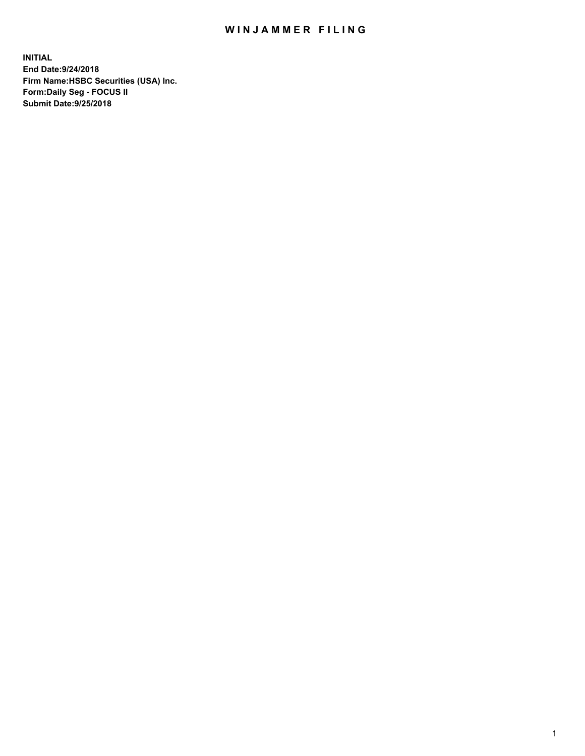## WIN JAMMER FILING

**INITIAL End Date:9/24/2018 Firm Name:HSBC Securities (USA) Inc. Form:Daily Seg - FOCUS II Submit Date:9/25/2018**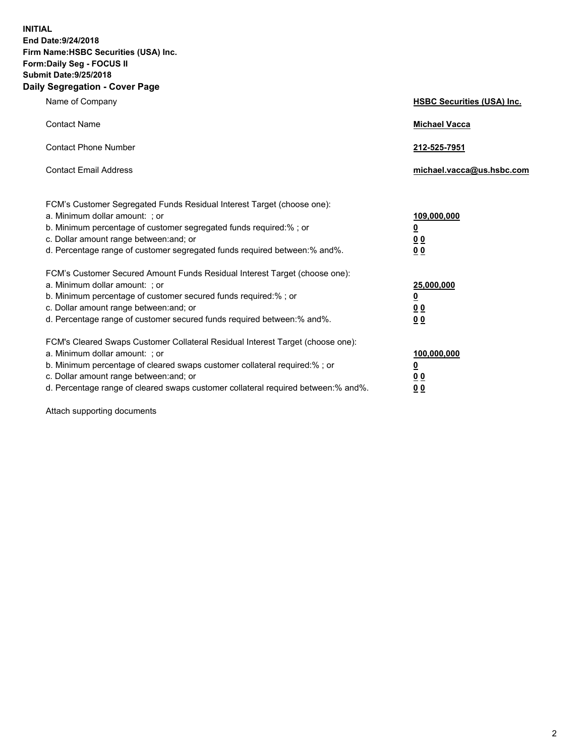**INITIAL End Date:9/24/2018 Firm Name:HSBC Securities (USA) Inc. Form:Daily Seg - FOCUS II Submit Date:9/25/2018 Daily Segregation - Cover Page**

| Name of Company                                                                                                                                                                                                                                                                                                                | <b>HSBC Securities (USA) Inc.</b>                                          |
|--------------------------------------------------------------------------------------------------------------------------------------------------------------------------------------------------------------------------------------------------------------------------------------------------------------------------------|----------------------------------------------------------------------------|
| <b>Contact Name</b>                                                                                                                                                                                                                                                                                                            | <b>Michael Vacca</b>                                                       |
| <b>Contact Phone Number</b>                                                                                                                                                                                                                                                                                                    | 212-525-7951                                                               |
| <b>Contact Email Address</b>                                                                                                                                                                                                                                                                                                   | michael.vacca@us.hsbc.com                                                  |
| FCM's Customer Segregated Funds Residual Interest Target (choose one):<br>a. Minimum dollar amount: : or<br>b. Minimum percentage of customer segregated funds required:% ; or<br>c. Dollar amount range between: and; or<br>d. Percentage range of customer segregated funds required between:% and%.                         | 109,000,000<br>$\overline{\mathbf{0}}$<br>0 <sub>0</sub><br>0 <sub>0</sub> |
| FCM's Customer Secured Amount Funds Residual Interest Target (choose one):<br>a. Minimum dollar amount: ; or<br>b. Minimum percentage of customer secured funds required:%; or<br>c. Dollar amount range between: and; or<br>d. Percentage range of customer secured funds required between:% and%.                            | 25,000,000<br>$\overline{\mathbf{0}}$<br>0 <sub>0</sub><br>0 <sub>0</sub>  |
| FCM's Cleared Swaps Customer Collateral Residual Interest Target (choose one):<br>a. Minimum dollar amount: ; or<br>b. Minimum percentage of cleared swaps customer collateral required:% ; or<br>c. Dollar amount range between: and; or<br>d. Percentage range of cleared swaps customer collateral required between:% and%. | 100,000,000<br>$\overline{\mathbf{0}}$<br>0 <sub>0</sub><br>0 <sub>0</sub> |

Attach supporting documents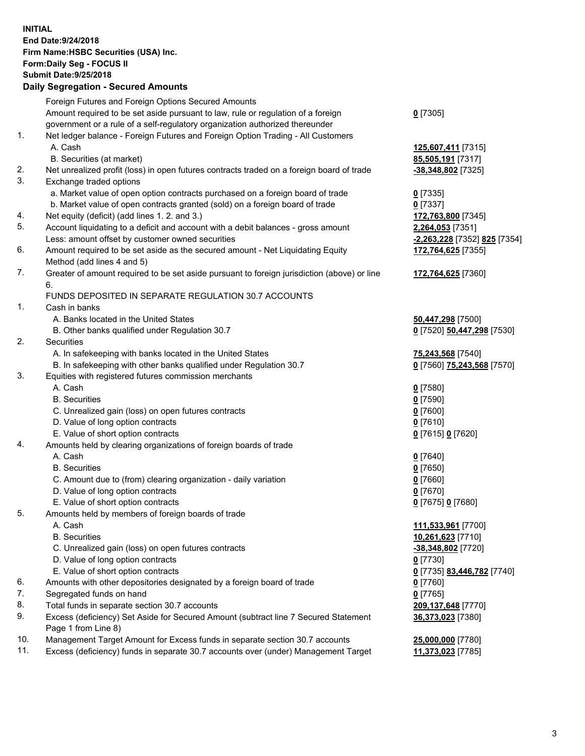**INITIAL End Date:9/24/2018 Firm Name:HSBC Securities (USA) Inc. Form:Daily Seg - FOCUS II Submit Date:9/25/2018 Daily Segregation - Secured Amounts** Foreign Futures and Foreign Options Secured Amounts Amount required to be set aside pursuant to law, rule or regulation of a foreign government or a rule of a self-regulatory organization authorized thereunder 1. Net ledger balance - Foreign Futures and Foreign Option Trading - All Customers A. Cash **125,607,411** [7315]

- B. Securities (at market) **85,505,191** [7317]
- 2. Net unrealized profit (loss) in open futures contracts traded on a foreign board of trade **-38,348,802** [7325]
- 3. Exchange traded options
	- a. Market value of open option contracts purchased on a foreign board of trade **0** [7335]
	- b. Market value of open contracts granted (sold) on a foreign board of trade **0** [7337]
- 4. Net equity (deficit) (add lines 1. 2. and 3.) **172,763,800** [7345]
- 5. Account liquidating to a deficit and account with a debit balances gross amount **2,264,053** [7351] Less: amount offset by customer owned securities **-2,263,228** [7352] **825** [7354]
- 6. Amount required to be set aside as the secured amount Net Liquidating Equity Method (add lines 4 and 5)
- 7. Greater of amount required to be set aside pursuant to foreign jurisdiction (above) or line 6.

## FUNDS DEPOSITED IN SEPARATE REGULATION 30.7 ACCOUNTS

- 1. Cash in banks
	- A. Banks located in the United States **50,447,298** [7500]
	- B. Other banks qualified under Regulation 30.7 **0** [7520] **50,447,298** [7530]
- 2. Securities
	- A. In safekeeping with banks located in the United States **75,243,568** [7540]
	- B. In safekeeping with other banks qualified under Regulation 30.7 **0** [7560] **75,243,568** [7570]
- 3. Equities with registered futures commission merchants
	- A. Cash **0** [7580]
	- B. Securities **0** [7590]
	- C. Unrealized gain (loss) on open futures contracts **0** [7600]
	- D. Value of long option contracts **0** [7610]
	- E. Value of short option contracts **0** [7615] **0** [7620]
- 4. Amounts held by clearing organizations of foreign boards of trade
	- A. Cash **0** [7640]
	- B. Securities **0** [7650]
	- C. Amount due to (from) clearing organization daily variation **0** [7660]
	- D. Value of long option contracts **0** [7670]
	- E. Value of short option contracts **0** [7675] **0** [7680]
- 5. Amounts held by members of foreign boards of trade
	-
	-
	- C. Unrealized gain (loss) on open futures contracts **-38,348,802** [7720]
	- D. Value of long option contracts **0** [7730]
	- E. Value of short option contracts **0** [7735] **83,446,782** [7740]
- 6. Amounts with other depositories designated by a foreign board of trade **0** [7760]
- 7. Segregated funds on hand **0** [7765]
- 8. Total funds in separate section 30.7 accounts **209,137,648** [7770]
- 9. Excess (deficiency) Set Aside for Secured Amount (subtract line 7 Secured Statement Page 1 from Line 8)
- 10. Management Target Amount for Excess funds in separate section 30.7 accounts **25,000,000** [7780]
- 11. Excess (deficiency) funds in separate 30.7 accounts over (under) Management Target **11,373,023** [7785]
- **0** [7305]
- **172,764,625** [7355]
- **172,764,625** [7360]
- 
- -
	-
- A. Cash **111,533,961** [7700] B. Securities **10,261,623** [7710] **36,373,023** [7380]
	-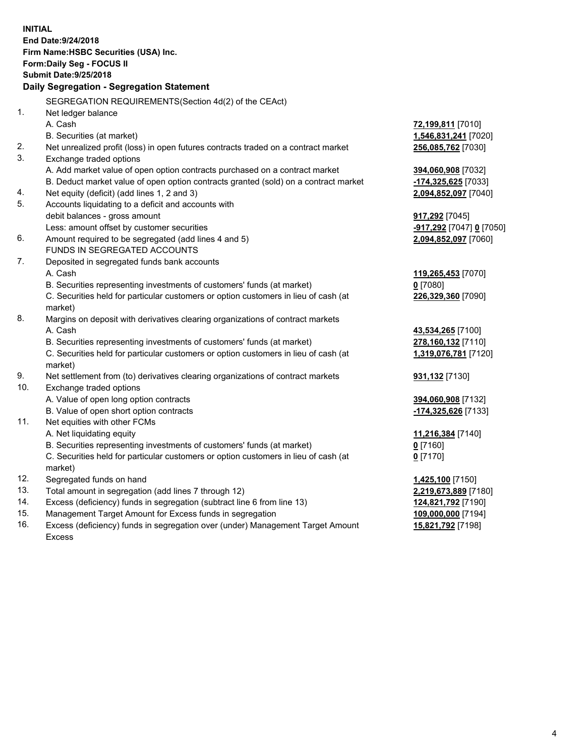**INITIAL End Date:9/24/2018 Firm Name:HSBC Securities (USA) Inc. Form:Daily Seg - FOCUS II Submit Date:9/25/2018 Daily Segregation - Segregation Statement** SEGREGATION REQUIREMENTS(Section 4d(2) of the CEAct) 1. Net ledger balance A. Cash **72,199,811** [7010] B. Securities (at market) **1,546,831,241** [7020] 2. Net unrealized profit (loss) in open futures contracts traded on a contract market **256,085,762** [7030] 3. Exchange traded options A. Add market value of open option contracts purchased on a contract market **394,060,908** [7032] B. Deduct market value of open option contracts granted (sold) on a contract market **-174,325,625** [7033] 4. Net equity (deficit) (add lines 1, 2 and 3) **2,094,852,097** [7040] 5. Accounts liquidating to a deficit and accounts with debit balances - gross amount **917,292** [7045] Less: amount offset by customer securities **-917,292** [7047] **0** [7050] 6. Amount required to be segregated (add lines 4 and 5) **2,094,852,097** [7060] FUNDS IN SEGREGATED ACCOUNTS 7. Deposited in segregated funds bank accounts A. Cash **119,265,453** [7070] B. Securities representing investments of customers' funds (at market) **0** [7080] C. Securities held for particular customers or option customers in lieu of cash (at market) **226,329,360** [7090] 8. Margins on deposit with derivatives clearing organizations of contract markets A. Cash **43,534,265** [7100] B. Securities representing investments of customers' funds (at market) **278,160,132** [7110] C. Securities held for particular customers or option customers in lieu of cash (at market) **1,319,076,781** [7120] 9. Net settlement from (to) derivatives clearing organizations of contract markets **931,132** [7130] 10. Exchange traded options A. Value of open long option contracts **394,060,908** [7132] B. Value of open short option contracts **-174,325,626** [7133] 11. Net equities with other FCMs A. Net liquidating equity **11,216,384** [7140] B. Securities representing investments of customers' funds (at market) **0** [7160] C. Securities held for particular customers or option customers in lieu of cash (at market) **0** [7170] 12. Segregated funds on hand **1,425,100** [7150] 13. Total amount in segregation (add lines 7 through 12) **2,219,673,889** [7180] 14. Excess (deficiency) funds in segregation (subtract line 6 from line 13) **124,821,792** [7190] 15. Management Target Amount for Excess funds in segregation **109,000,000** [7194] 16. Excess (deficiency) funds in segregation over (under) Management Target Amount **15,821,792** [7198]

Excess